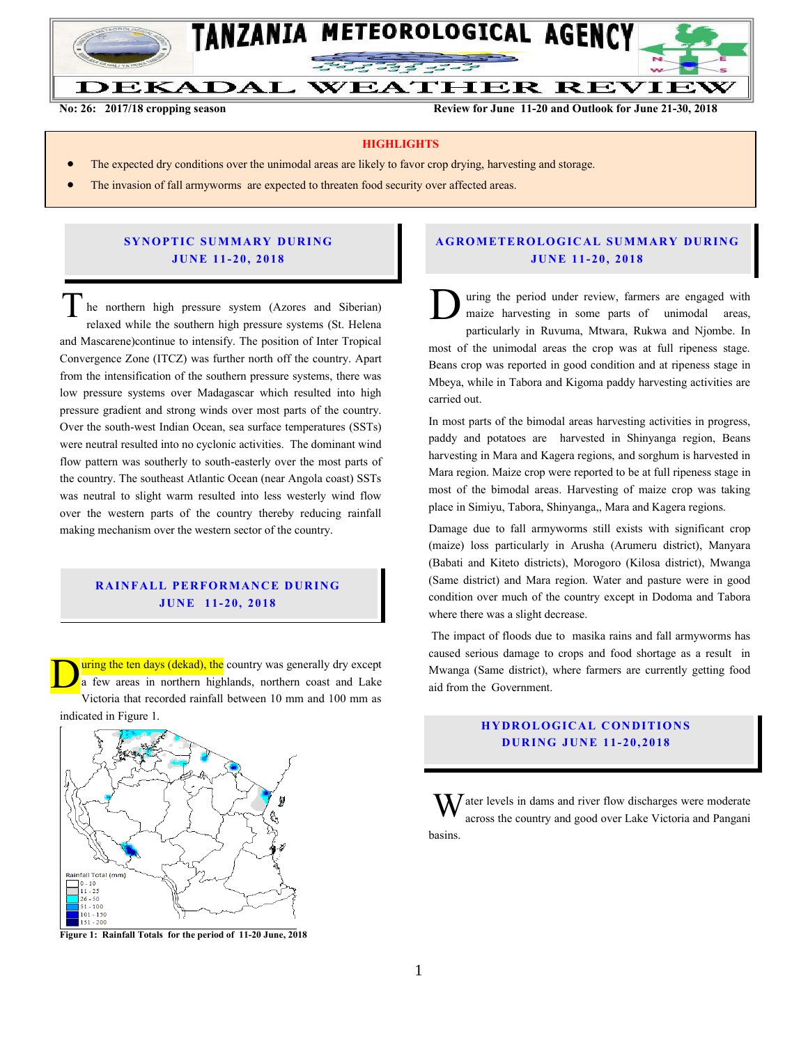

**No: 26: 2017/18 cropping season Review for June 11-20 and Outlook for June 21-30, 2018**

#### **HIGHLIGHTS**

- The expected dry conditions over the unimodal areas are likely to favor crop drying, harvesting and storage.
- The invasion of fall armyworms are expected to threaten food security over affected areas.

### **SYNOPTIC SUMMARY DURING JU N E 11- 20, 201 8**

he northern high pressure system (Azores and Siberian) relaxed while the southern high pressure systems (St. Helena and Mascarene)continue to intensify. The position of Inter Tropical Convergence Zone (ITCZ) was further north off the country. Apart from the intensification of the southern pressure systems, there was low pressure systems over Madagascar which resulted into high pressure gradient and strong winds over most parts of the country. Over the south-west Indian Ocean, sea surface temperatures (SSTs) were neutral resulted into no cyclonic activities. The dominant wind flow pattern was southerly to south-easterly over the most parts of the country. The southeast Atlantic Ocean (near Angola coast) SSTs was neutral to slight warm resulted into less westerly wind flow over the western parts of the country thereby reducing rainfall making mechanism over the western sector of the country. The northern high pressure system (Azores and Siberian)<br>relaxed while the southern high pressure systems (St. Helena

# **RAINFALL PERFORMANCE DURING JU N E 1 1- 20, 2018**

<u>uring the ten days (dekad), the</u> country was generally dry except a few areas in northern highlands, northern coast and Lake Victoria that recorded rainfall between 10 mm and 100 mm as indicated in Figure 1. D



**Figure 1: Rainfall Totals for the period of 11-20 June, 2018**

### **A G RO METER O LO G IC AL SU MMAR Y DU R IN G JU N E 1 1- 20, 2018**

uring the period under review, farmers are engaged with maize harvesting in some parts of unimodal areas, particularly in Ruvuma, Mtwara, Rukwa and Njombe. In most of the unimodal areas the crop was at full ripeness stage. Beans crop was reported in good condition and at ripeness stage in Mbeya, while in Tabora and Kigoma paddy harvesting activities are carried out.

In most parts of the bimodal areas harvesting activities in progress, paddy and potatoes are harvested in Shinyanga region, Beans harvesting in Mara and Kagera regions, and sorghum is harvested in Mara region. Maize crop were reported to be at full ripeness stage in most of the bimodal areas. Harvesting of maize crop was taking place in Simiyu, Tabora, Shinyanga,, Mara and Kagera regions.

Damage due to fall armyworms still exists with significant crop (maize) loss particularly in Arusha (Arumeru district), Manyara (Babati and Kiteto districts), Morogoro (Kilosa district), Mwanga (Same district) and Mara region. Water and pasture were in good condition over much of the country except in Dodoma and Tabora where there was a slight decrease.

The impact of floods due to masika rains and fall armyworms has caused serious damage to crops and food shortage as a result in Mwanga (Same district), where farmers are currently getting food aid from the Government.

# **HYDROLOGICAL CONDITIONS D UR ING JUN E 11- 20 , 2018**

 $\mathbf{W}$  ater levels in dams and river flow discharges were moderate across the country and good over Lake Victoria and Pangani across the country and good over Lake Victoria and Pangani basins.